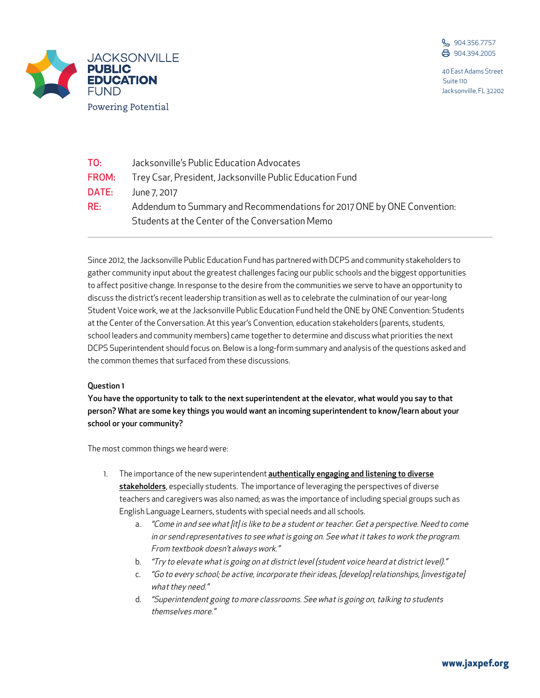



| TO:   | Jacksonville's Public Education Advocates                                                                                  |
|-------|----------------------------------------------------------------------------------------------------------------------------|
| FROM: | Trey Csar, President, Jacksonville Public Education Fund                                                                   |
| DATE: | June 7, 2017                                                                                                               |
| RE:   | Addendum to Summary and Recommendations for 2017 ONE by ONE Convention:<br>Students at the Center of the Conversation Memo |

Since 2012, the Jacksonville Public Education Fund has partnered with DCPS and community stakeholders to gather community input about the greatest challenges facing our public schools and the biggest opportunities to affect positive change. In response to the desire from the communities we serve to have an opportunity to discuss the district's recent leadership transition as well as to celebrate the culmination of our year-long Student Voice work, we at the Jacksonville Public Education Fund held the ONE by ONE Convention: Students at the Center of the Conversation. At this year's Convention, education stakeholders (parents, students, school leaders and community members) came together to determine and discuss what priorities the next DCPS Superintendent should focus on. Below is a long-form summary and analysis of the questions asked and the common themes that surfaced from these discussions.

# Question 1

You have the opportunity to talk to the next superintendent at the elevator, what would you say to that person? What are some key things you would want an incoming superintendent to know/learn about your school or your community?

The most common things we heard were:

- 1. The importance of the new superintendent **authentically engaging and listening to diverse** stakeholders, especially students. The importance of leveraging the perspectives of diverse teachers and caregivers was also named; as was the importance of including special groups such as English Language Learners, students with special needs and all schools.
	- a. "Come in and see what [it] is like to be a student or teacher. Get a perspective. Need to come in or send representatives to see what is going on. See what it takes to work the program. From textbook doesn't always work."
	- b. "Try to elevate what is going on at district level (student voice heard at district level)."
	- c. "Go to every school; be active, incorporate their ideas, [develop] relationships, [investigate] what they need."
	- d. "Superintendent going to more classrooms. See what is going on, talking to students themselves more."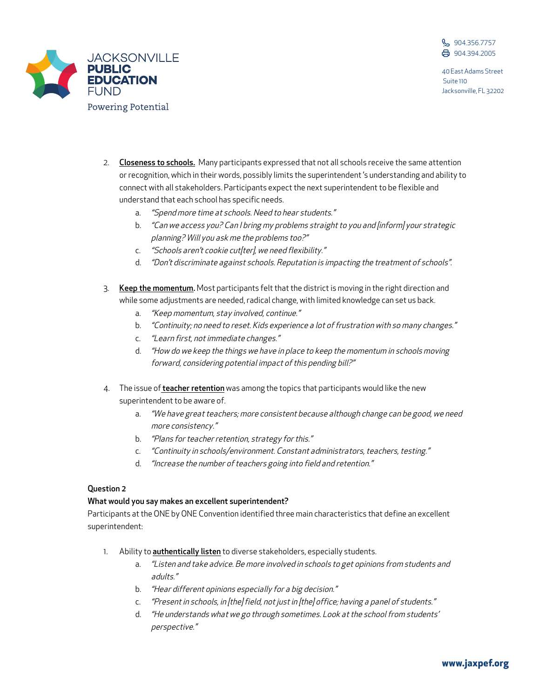



- 2. Closeness to schools. Many participants expressed that not all schools receive the same attention or recognition, which in their words, possibly limits the superintendent 's understanding and ability to connect with all stakeholders. Participants expect the next superintendent to be flexible and understand that each school has specific needs.
	- a. "Spend more time at schools. Need to hear students."
	- b. "Can we access you? Can I bring my problems straight to you and [inform] your strategic planning? Will you ask me the problems too?"
	- c. "Schools aren't cookie cut[ter], we need flexibility."
	- d. "Don't discriminate against schools. Reputation is impacting the treatment of schools".
- 3. Keep the momentum. Most participants felt that the district is moving in the right direction and while some adjustments are needed, radical change, with limited knowledge can set us back.
	- a. "Keep momentum, stay involved, continue."
	- b. "Continuity; no need to reset. Kids experience a lot of frustration with so many changes."
	- c. "Learn first, not immediate changes."
	- d. "How do we keep the things we have in place to keep the momentum in schools moving forward, considering potential impact of this pending bill?"
- 4. The issue of **teacher retention** was among the topics that participants would like the new superintendent to be aware of.
	- a. "We have great teachers; more consistent because although change can be good, we need more consistency."
	- b. "Plans for teacher retention, strategy for this."
	- c. "Continuity in schools/environment. Constant administrators, teachers, testing."
	- d. "Increase the number of teachers going into field and retention."

# Question 2

# What would you say makes an excellent superintendent?

Participants at the ONE by ONE Convention identified three main characteristics that define an excellent superintendent:

- 1. Ability to **authentically listen** to diverse stakeholders, especially students.
	- a. "Listen and take advice. Be more involved in schools to get opinions from students and adults."
	- b. "Hear different opinions especially for a big decision."
	- c. "Present in schools, in [the] field, not just in [the] office; having a panel of students."
	- d. "He understands what we go through sometimes. Look at the school from students' perspective."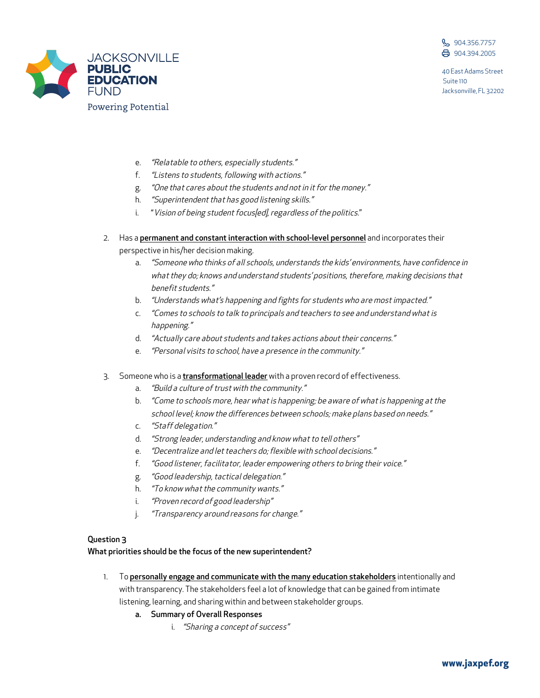



- e. "Relatable to others, especially students."
- f. "Listens to students, following with actions."
- g. "One that cares about the students and not in it for the money."
- h. "Superintendent that has good listening skills."
- i. "Vision of being student focus[ed], regardless of the politics."
- 2. Has a permanent and constant interaction with school-level personnel and incorporates their perspective in his/her decision making.
	- a. "Someone who thinks of all schools, understands the kids' environments, have confidence in what they do; knows and understand students' positions, therefore, making decisions that benefit students."
	- b. *"Understands what's happening and fights for students who are most impacted."*
	- c. "Comes to schools to talk to principals and teachers to see and understand what is happening."
	- d. "Actually care about students and takes actions about their concerns."
	- e. "Personal visits to school, have a presence in the community."
- 3. Someone who is a *transformational leader* with a proven record of effectiveness.
	- a. "Build a culture of trust with the community."
	- b. "Come to schools more, hear what is happening; be aware of what is happening at the school level; know the differences between schools; make plans based on needs."
	- c. "Staff delegation."
	- d. "Strong leader, understanding and know what to tell others"
	- e. "Decentralize and let teachers do; flexible with school decisions."
	- f. "Good listener, facilitator, leader empowering others to bring their voice."
	- g. "Good leadership, tactical delegation."
	- h. "To know what the community wants."
	- i. "Proven record of good leadership"
	- j. "Transparency around reasons for change."

# Question 3

What priorities should be the focus of the new superintendent?

- 1. To personally engage and communicate with the many education stakeholders intentionally and with transparency. The stakeholders feel a lot of knowledge that can be gained from intimate listening, learning, and sharing within and between stakeholder groups.
	- a. Summary of Overall Responses
		- i. "Sharing a concept of success"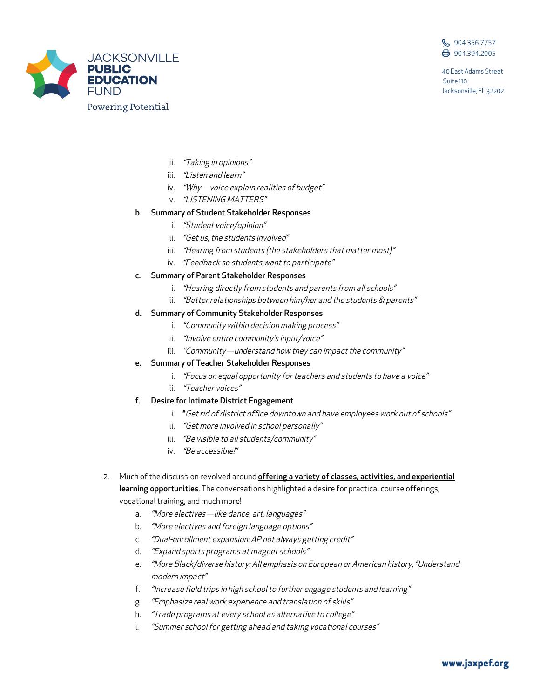



- ii. "Taking in opinions"
- iii. *"Listen and learn"*
- iv. "Why-voice explain realities of budget"
- v. "LISTENING MATTERS"

### b. Summary of Student Stakeholder Responses

- i. "Student voice/opinion"
- ii. "Get us, the students involved"
- iii. "Hearing from students (the stakeholders that matter most)"
- iv. "Feedback so students want to participate"

#### c. Summary of Parent Stakeholder Responses

- i. "Hearing directly from students and parents from all schools"
- ii. "Better relationships between him/her and the students & parents"

# d. Summary of Community Stakeholder Responses

- i. "Community within decision making process"
- ii. "Involve entire community's input/voice"
- iii. "Community—understand how they can impact the community"

# e. Summary of Teacher Stakeholder Responses

- i. "Focus on equal opportunity for teachers and students to have a voice"
- ii. "Teacher voices"

# f. Desire for Intimate District Engagement

- i. "Get rid of district office downtown and have employees work out of schools"
- ii. "Get more involved in school personally"
- iii. "Be visible to all students/community"
- iv. "Be accessible!"
- 2. Much of the discussion revolved around offering a variety of classes, activities, and experiential learning opportunities. The conversations highlighted a desire for practical course offerings,

vocational training, and much more!

- a. "More electives-like dance, art, languages"
- b. "More electives and foreign language options"
- c. "Dual-enrollment expansion: AP not always getting credit"
- d. "Expand sports programs at magnet schools"
- e. "More Black/diverse history: All emphasis on European or American history, "Understand modern impact"
- f. "Increase field trips in high school to further engage students and learning"
- g. "Emphasize real work experience and translation of skills"
- h. "Trade programs at every school as alternative to college"
- i. "Summer school for getting ahead and taking vocational courses"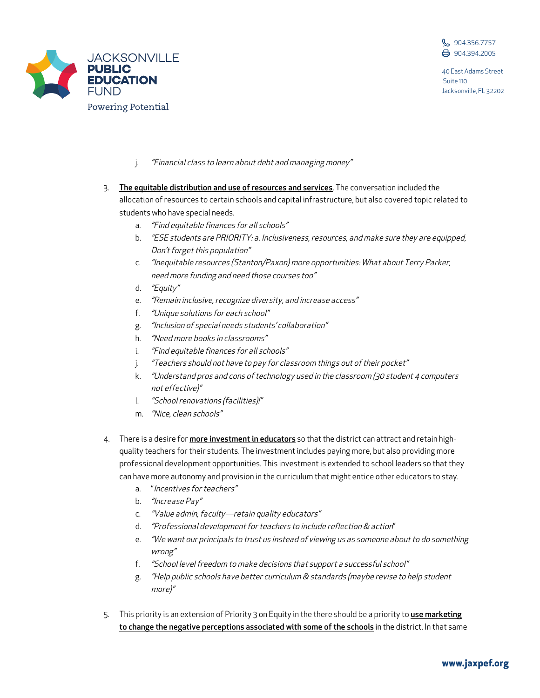



- j. "Financial class to learn about debt and managing money"
- 3. The equitable distribution and use of resources and services. The conversation included the allocation of resources to certain schools and capital infrastructure, but also covered topic related to students who have special needs.
	- a. "Find equitable finances for all schools"
	- b. "ESE students are PRIORITY: a. Inclusiveness, resources, and make sure they are equipped, Don't forget this population"
	- c. "Inequitable resources (Stanton/Paxon) more opportunities: What about Terry Parker, need more funding and need those courses too"
	- d. "Equity"
	- e. "Remain inclusive, recognize diversity, and increase access"
	- f. "Unique solutions for each school"
	- g. "Inclusion of special needs students' collaboration"
	- h. "Need more books in classrooms"
	- i. "Find equitable finances for all schools"
	- j. "Teachers should not have to pay for classroom things out of their pocket"
	- k. "Understand pros and cons of technology used in the classroom (30 student 4 computers not effective)"
	- l. "School renovations (facilities)!"
	- m. "Nice, clean schools"
- 4. There is a desire for *more investment in educators* so that the district can attract and retain highquality teachers for their students. The investment includes paying more, but also providing more professional development opportunities. This investment is extended to school leaders so that they can have more autonomy and provision in the curriculum that might entice other educators to stay.
	- a. "Incentives for teachers"
	- b. "Increase Pay"
	- c. "Value admin, faculty—retain quality educators"
	- d. "Professional development for teachers to include reflection & action"
	- e. "We want our principals to trust us instead of viewing us as someone about to do something wrong"
	- f. "School level freedom to make decisions that support a successful school"
	- g. "Help public schools have better curriculum & standards (maybe revise to help student more)"
- 5. This priority is an extension of Priority 3 on Equity in the there should be a priority to use marketing to change the negative perceptions associated with some of the schools in the district. In that same